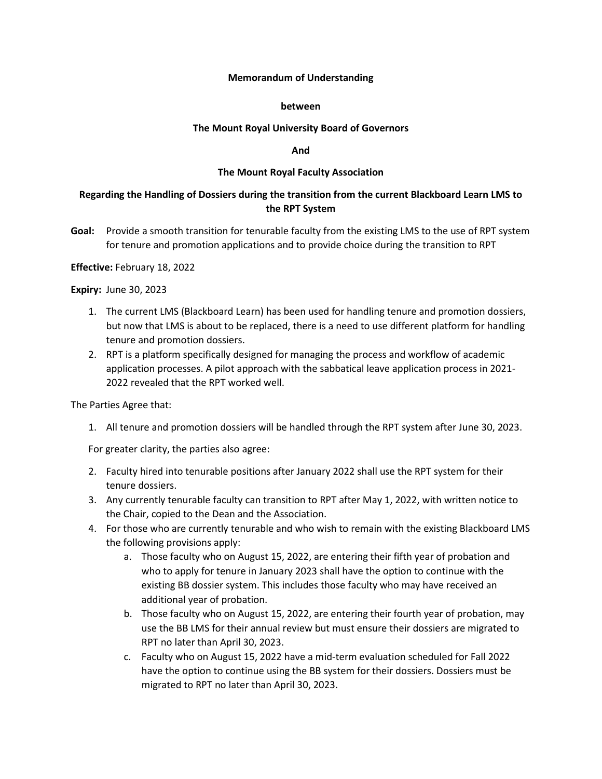### **Memorandum of Understanding**

### **between**

### **The Mount Royal University Board of Governors**

### **And**

## **The Mount Royal Faculty Association**

# **Regarding the Handling of Dossiers during the transition from the current Blackboard Learn LMS to the RPT System**

**Goal:** Provide a smooth transition for tenurable faculty from the existing LMS to the use of RPT system for tenure and promotion applications and to provide choice during the transition to RPT

**Effective:** February 18, 2022

**Expiry:** June 30, 2023

- 1. The current LMS (Blackboard Learn) has been used for handling tenure and promotion dossiers, but now that LMS is about to be replaced, there is a need to use different platform for handling tenure and promotion dossiers.
- 2. RPT is a platform specifically designed for managing the process and workflow of academic application processes. A pilot approach with the sabbatical leave application process in 2021- 2022 revealed that the RPT worked well.

The Parties Agree that:

1. All tenure and promotion dossiers will be handled through the RPT system after June 30, 2023.

For greater clarity, the parties also agree:

- 2. Faculty hired into tenurable positions after January 2022 shall use the RPT system for their tenure dossiers.
- 3. Any currently tenurable faculty can transition to RPT after May 1, 2022, with written notice to the Chair, copied to the Dean and the Association.
- 4. For those who are currently tenurable and who wish to remain with the existing Blackboard LMS the following provisions apply:
	- a. Those faculty who on August 15, 2022, are entering their fifth year of probation and who to apply for tenure in January 2023 shall have the option to continue with the existing BB dossier system. This includes those faculty who may have received an additional year of probation.
	- b. Those faculty who on August 15, 2022, are entering their fourth year of probation, may use the BB LMS for their annual review but must ensure their dossiers are migrated to RPT no later than April 30, 2023.
	- c. Faculty who on August 15, 2022 have a mid-term evaluation scheduled for Fall 2022 have the option to continue using the BB system for their dossiers. Dossiers must be migrated to RPT no later than April 30, 2023.